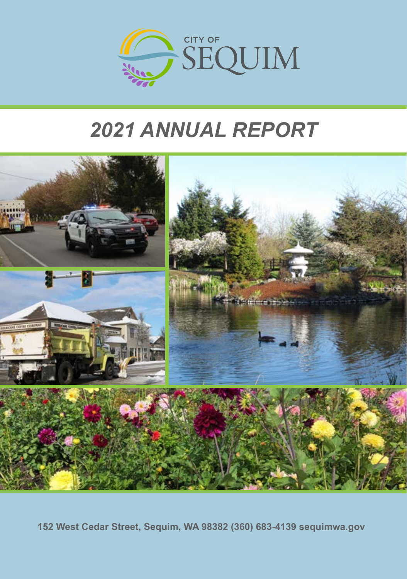

# *2021 ANNUAL REPORT*



**152 West Cedar Street, Sequim, WA 98382 (360) 683-4139 sequimwa.gov**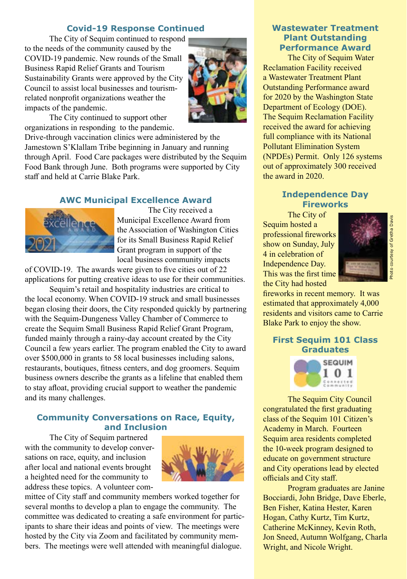#### **Covid-19 Response Continued**

The City of Sequim continued to respond to the needs of the community caused by the COVID-19 pandemic. New rounds of the Small Business Rapid Relief Grants and Tourism Sustainability Grants were approved by the City Council to assist local businesses and tourismrelated nonprofit organizations weather the impacts of the pandemic.



The City continued to support other organizations in responding to the pandemic.

Drive-through vaccination clinics were administered by the Jamestown S'Klallam Tribe beginning in January and running through April. Food Care packages were distributed by the Sequim Food Bank through June. Both programs were supported by City staff and held at Carrie Blake Park.

## **AWC Municipal Excellence Award**



 The City received a Municipal Excellence Award from the Association of Washington Cities for its Small Business Rapid Relief Grant program in support of the local business community impacts

of COVID-19. The awards were given to five cities out of 22 applications for putting creative ideas to use for their communities.

Sequim's retail and hospitality industries are critical to the local economy. When COVID-19 struck and small businesses began closing their doors, the City responded quickly by partnering with the Sequim-Dungeness Valley Chamber of Commerce to create the Sequim Small Business Rapid Relief Grant Program, funded mainly through a rainy-day account created by the City Council a few years earlier. The program enabled the City to award over \$500,000 in grants to 58 local businesses including salons, restaurants, boutiques, fitness centers, and dog groomers. Sequim business owners describe the grants as a lifeline that enabled them to stay afloat, providing crucial support to weather the pandemic and its many challenges.

# **Community Conversations on Race, Equity, and Inclusion**

The City of Sequim partnered with the community to develop conversations on race, equity, and inclusion after local and national events brought a heighted need for the community to address these topics. A volunteer com-



mittee of City staff and community members worked together for several months to develop a plan to engage the community. The committee was dedicated to creating a safe environment for participants to share their ideas and points of view. The meetings were hosted by the City via Zoom and facilitated by community members. The meetings were well attended with meaningful dialogue.

# **Wastewater Treatment Plant Outstanding Performance Award**

The City of Sequim Water Reclamation Facility received a Wastewater Treatment Plant Outstanding Performance award for 2020 by the Washington State Department of Ecology (DOE). The Sequim Reclamation Facility received the award for achieving full compliance with its National Pollutant Elimination System (NPDEs) Permit. Only 126 systems out of approximately 300 received the award in 2020.

## **Independence Day Fireworks**

The City of Sequim hosted a professional fireworks show on Sunday, July 4 in celebration of Independence Day. This was the first time the City had hosted



Photo courtesy of Gretha Davis

Photo courtesy of Gretha Davis

fireworks in recent memory. It was estimated that approximately 4,000 residents and visitors came to Carrie Blake Park to enjoy the show.

## **First Sequim 101 Class Graduates**



The Sequim City Council congratulated the first graduating class of the Sequim 101 Citizen's Academy in March. Fourteen Sequim area residents completed the 10-week program designed to educate on government structure and City operations lead by elected officials and City staff.

Program graduates are Janine Bocciardi, John Bridge, Dave Eberle, Ben Fisher, Katina Hester, Karen Hogan, Cathy Kurtz, Tim Kurtz, Catherine McKinney, Kevin Roth, Jon Sneed, Autumn Wolfgang, Charla Wright, and Nicole Wright.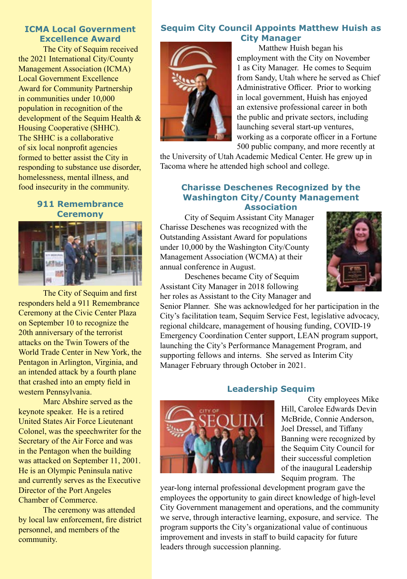## **ICMA Local Government Excellence Award**

The City of Sequim received the 2021 International City/County Management Association (ICMA) Local Government Excellence Award for Community Partnership in communities under 10,000 population in recognition of the development of the Sequim Health & Housing Cooperative (SHHC). The SHHC is a collaborative of six local nonprofit agencies formed to better assist the City in responding to substance use disorder, homelessness, mental illness, and food insecurity in the community.

#### **911 Remembrance Ceremony**



The City of Sequim and first responders held a 911 Remembrance Ceremony at the Civic Center Plaza on September 10 to recognize the 20th anniversary of the terrorist attacks on the Twin Towers of the World Trade Center in New York, the Pentagon in Arlington, Virginia, and an intended attack by a fourth plane that crashed into an empty field in western Pennsylvania.

Marc Abshire served as the keynote speaker. He is a retired United States Air Force Lieutenant Colonel, was the speechwriter for the Secretary of the Air Force and was in the Pentagon when the building was attacked on September 11, 2001. He is an Olympic Peninsula native and currently serves as the Executive Director of the Port Angeles Chamber of Commerce.

The ceremony was attended by local law enforcement, fire district personnel, and members of the community.

# **Sequim City Council Appoints Matthew Huish as City Manager**



Matthew Huish began his employment with the City on November 1 as City Manager. He comes to Sequim from Sandy, Utah where he served as Chief Administrative Officer. Prior to working in local government, Huish has enjoyed an extensive professional career in both the public and private sectors, including launching several start-up ventures, working as a corporate officer in a Fortune 500 public company, and more recently at

the University of Utah Academic Medical Center. He grew up in Tacoma where he attended high school and college.

# **Charisse Deschenes Recognized by the Washington City/County Management Association**

City of Sequim Assistant City Manager Charisse Deschenes was recognized with the Outstanding Assistant Award for populations under 10,000 by the Washington City/County Management Association (WCMA) at their annual conference in August.



Deschenes became City of Sequim Assistant City Manager in 2018 following her roles as Assistant to the City Manager and

Senior Planner. She was acknowledged for her participation in the City's facilitation team, Sequim Service Fest, legislative advocacy, regional childcare, management of housing funding, COVID-19 Emergency Coordination Center support, LEAN program support, launching the City's Performance Management Program, and supporting fellows and interns. She served as Interim City Manager February through October in 2021.

# **Leadership Sequim**



City employees Mike Hill, Carolee Edwards Devin McBride, Connie Anderson, Joel Dressel, and Tiffany Banning were recognized by the Sequim City Council for their successful completion of the inaugural Leadership Sequim program. The

year-long internal professional development program gave the employees the opportunity to gain direct knowledge of high-level City Government management and operations, and the community we serve, through interactive learning, exposure, and service. The program supports the City's organizational value of continuous improvement and invests in staff to build capacity for future leaders through succession planning.